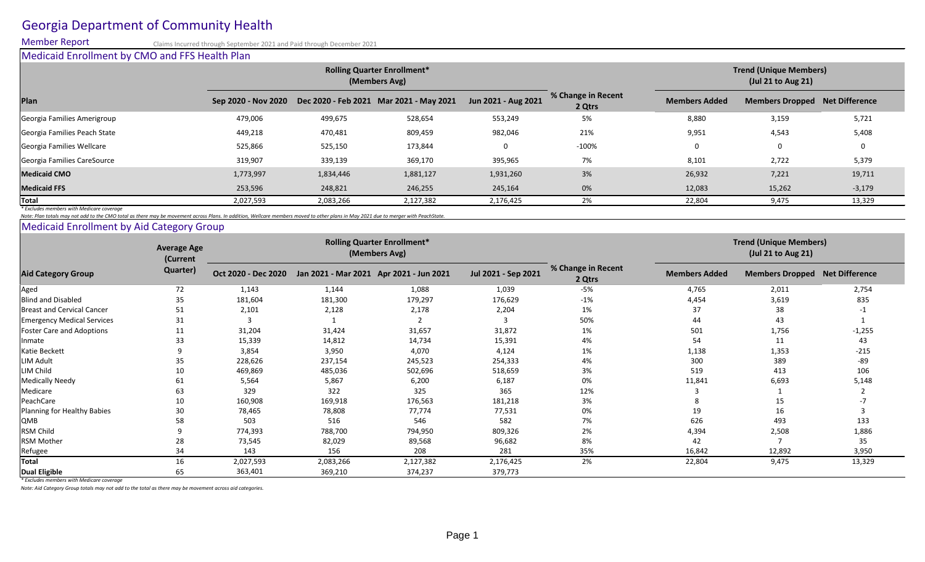# Georgia Department of Community Health

Member Report Claims Incurred through September 2021 and Paid through December 2021

### Medicaid Enrollment by CMO and FFS Health Plan

*Note: Plan totals may not add to the CMO total as there may be movement across Plans. In addition, Wellcare members moved to other plans in May 2021 due to merger with PeachState.*

### Medicaid Enrollment by Aid Category Group

|                                                                                                     |           |           | <b>Trend (Unique Members)</b><br>(Jul 21 to Aug 21)           |                     |                              |                      |                                       |                |
|-----------------------------------------------------------------------------------------------------|-----------|-----------|---------------------------------------------------------------|---------------------|------------------------------|----------------------|---------------------------------------|----------------|
| Plan                                                                                                |           |           | Sep 2020 - Nov 2020  Dec 2020 - Feb 2021  Mar 2021 - May 2021 | Jun 2021 - Aug 2021 | % Change in Recent<br>2 Qtrs | <b>Members Added</b> | <b>Members Dropped Net Difference</b> |                |
| Georgia Families Amerigroup                                                                         | 479,006   | 499,675   | 528,654                                                       | 553,249             | 5%                           | 8,880                | 3,159                                 | 5,721          |
| Georgia Families Peach State                                                                        | 449,218   | 470,481   | 809,459                                                       | 982,046             | 21%                          | 9,951                | 4,543                                 | 5,408          |
| Georgia Families Wellcare                                                                           | 525,866   | 525,150   | 173,844                                                       |                     | $-100%$                      |                      | $\overline{0}$                        | $\overline{0}$ |
| Georgia Families CareSource                                                                         | 319,907   | 339,139   | 369,170                                                       | 395,965             | 7%                           | 8,101                | 2,722                                 | 5,379          |
|                                                                                                     | 1,773,997 | 1,834,446 | 1,881,127                                                     | 1,931,260           | 3%                           | 26,932               | 7,221                                 | 19,711         |
|                                                                                                     | 253,596   | 248,821   | 246,255                                                       | 245,164             | 0%                           | 12,083               | 15,262                                | $-3,179$       |
|                                                                                                     | 2,027,593 | 2,083,266 | 2,127,382                                                     | 2,176,425           | 2%                           | 22,804               | 9,475                                 | 13,329         |
| Medicaid CMO<br><b>Medicaid FFS</b><br>$ {\sf Total} $<br>* Excludes members with Medicare coverage |           |           |                                                               |                     |                              |                      |                                       |                |

| <b>Aid Category Group</b>         | <b>Average Age</b><br>(Current<br><b>Quarter)</b> | <b>Rolling Quarter Enrollment*</b><br>(Members Avg) |                                         |           |                     |                              | <b>Trend (Unique Members)</b><br>(Jul 21 to Aug 21) |                        |                |
|-----------------------------------|---------------------------------------------------|-----------------------------------------------------|-----------------------------------------|-----------|---------------------|------------------------------|-----------------------------------------------------|------------------------|----------------|
|                                   |                                                   | Oct 2020 - Dec 2020                                 | Jan 2021 - Mar 2021 Apr 2021 - Jun 2021 |           | Jul 2021 - Sep 2021 | % Change in Recent<br>2 Qtrs | <b>Members Added</b>                                | <b>Members Dropped</b> | Net Difference |
| Aged                              | 72                                                | 1,143                                               | 1,144                                   | 1,088     | 1,039               | $-5%$                        | 4,765                                               | 2,011                  | 2,754          |
| <b>Blind and Disabled</b>         | 35                                                | 181,604                                             | 181,300                                 | 179,297   | 176,629             | $-1%$                        | 4,454                                               | 3,619                  | 835            |
| <b>Breast and Cervical Cancer</b> | 51                                                | 2,101                                               | 2,128                                   | 2,178     | 2,204               | 1%                           | 37                                                  | 38                     |                |
| <b>Emergency Medical Services</b> | 31                                                |                                                     |                                         |           |                     | 50%                          | 44                                                  | 43                     |                |
| <b>Foster Care and Adoptions</b>  | 11                                                | 31,204                                              | 31,424                                  | 31,657    | 31,872              | 1%                           | 501                                                 | 1,756                  | $-1,255$       |
| Inmate                            | 33                                                | 15,339                                              | 14,812                                  | 14,734    | 15,391              | 4%                           | 54                                                  | 11                     | 43             |
| Katie Beckett                     |                                                   | 3,854                                               | 3,950                                   | 4,070     | 4,124               | 1%                           | 1,138                                               | 1,353                  | $-215$         |
| LIM Adult                         | 35                                                | 228,626                                             | 237,154                                 | 245,523   | 254,333             | 4%                           | 300                                                 | 389                    | -89            |
| LIM Child                         | 10                                                | 469,869                                             | 485,036                                 | 502,696   | 518,659             | 3%                           | 519                                                 | 413                    | 106            |
| Medically Needy                   | 61                                                | 5,564                                               | 5,867                                   | 6,200     | 6,187               | 0%                           | 11,841                                              | 6,693                  | 5,148          |
| Medicare                          | 63                                                | 329                                                 | 322                                     | 325       | 365                 | 12%                          |                                                     |                        |                |
| PeachCare                         | 10                                                | 160,908                                             | 169,918                                 | 176,563   | 181,218             | 3%                           |                                                     | 15                     |                |
| Planning for Healthy Babies       | 30                                                | 78,465                                              | 78,808                                  | 77,774    | 77,531              | 0%                           | 19                                                  | 16                     |                |
| <b>QMB</b>                        | 58                                                | 503                                                 | 516                                     | 546       | 582                 | 7%                           | 626                                                 | 493                    | 133            |
| <b>RSM Child</b>                  |                                                   | 774,393                                             | 788,700                                 | 794,950   | 809,326             | 2%                           | 4,394                                               | 2,508                  | 1,886          |
| <b>RSM Mother</b>                 | 28                                                | 73,545                                              | 82,029                                  | 89,568    | 96,682              | 8%                           | 42                                                  |                        | 35             |
| Refugee                           |                                                   | 143                                                 | 156                                     | 208       | 281                 | 35%                          | 16,842                                              | 12,892                 | 3,950          |
| <b>Total</b>                      | 16                                                | 2,027,593                                           | 2,083,266                               | 2,127,382 | 2,176,425           | 2%                           | 22,804                                              | 9,475                  | 13,329         |
| Dual Eligible                     | 65                                                | 363,401                                             | 369,210                                 | 374,237   | 379,773             |                              |                                                     |                        |                |

*\* Excludes members with Medicare coverage*

*Note: Aid Category Group totals may not add to the total as there may be movement across aid categories.*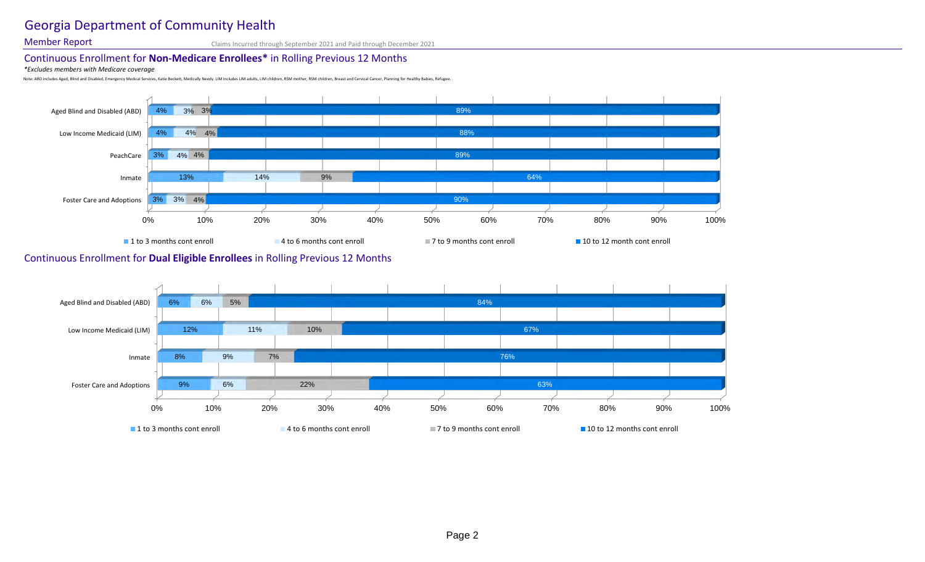# Georgia Department of Community Health

Member Report Claims Incurred through September 2021 and Paid through December 2021

## Continuous Enrollment for **Non-Medicare Enrollees\*** in Rolling Previous 12 Months

*\*Excludes members with Medicare coverage*

Note: ABD includes Aged, Blind and Disabled, Emergency Medical Services, Katie Beckett, Medically Needy. LIM Includes LIM adults, LIM children, RSM mother, RSM children, Breast and Cervical Cancer, Planning for Healthy Bab

### Continuous Enrollment for **Dual Eligible Enrollees** in Rolling Previous 12 Months